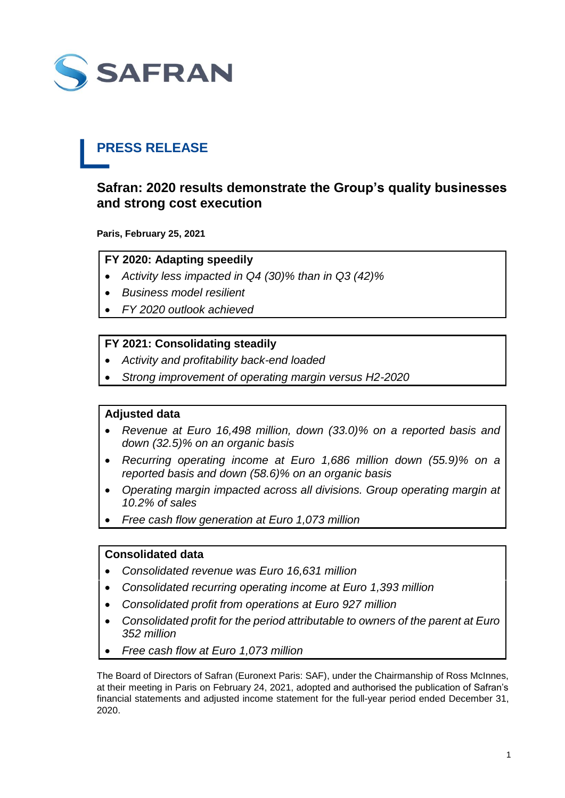

# **PRESS RELEASE**

## **Safran: 2020 results demonstrate the Group's quality businesses and strong cost execution**

**Paris, February 25, 2021**

## **FY 2020: Adapting speedily**

- *Activity less impacted in Q4 (30)% than in Q3 (42)%*
- *Business model resilient*
- *FY 2020 outlook achieved*

## **FY 2021: Consolidating steadily**

- *Activity and profitability back-end loaded*
- *Strong improvement of operating margin versus H2-2020*

## **Adjusted data**

- *Revenue at Euro 16,498 million, down (33.0)% on a reported basis and down (32.5)% on an organic basis*
- *Recurring operating income at Euro 1,686 million down (55.9)% on a reported basis and down (58.6)% on an organic basis*
- *Operating margin impacted across all divisions. Group operating margin at 10.2% of sales*
- *Free cash flow generation at Euro 1,073 million*

## **Consolidated data**

- *Consolidated revenue was Euro 16,631 million*
- *Consolidated recurring operating income at Euro 1,393 million*
- *Consolidated profit from operations at Euro 927 million*
- *Consolidated profit for the period attributable to owners of the parent at Euro 352 million*
- *Free cash flow at Euro 1,073 million*

The Board of Directors of Safran (Euronext Paris: SAF), under the Chairmanship of Ross McInnes, at their meeting in Paris on February 24, 2021, adopted and authorised the publication of Safran's financial statements and adjusted income statement for the full-year period ended December 31, 2020.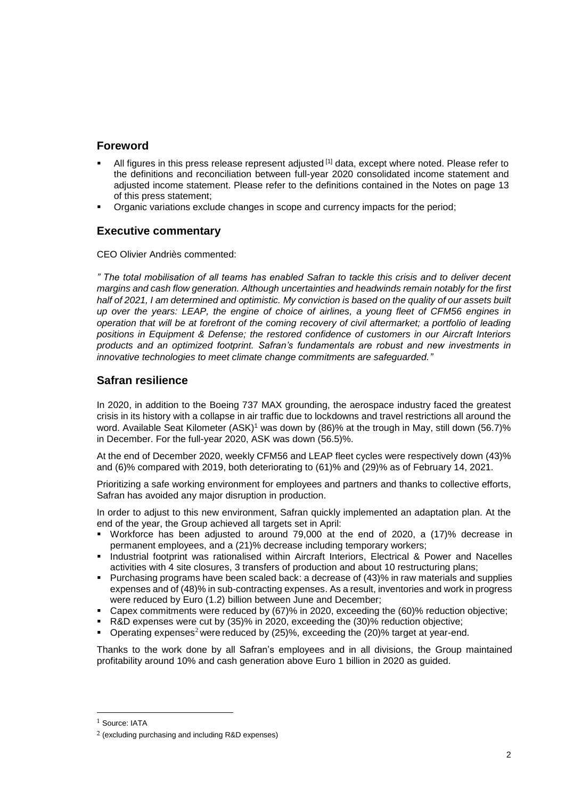## **Foreword**

- All figures in this press release represent adjusted [1] data, except where noted. Please refer to the definitions and reconciliation between full-year 2020 consolidated income statement and adjusted income statement. Please refer to the definitions contained in the Notes on page 13 of this press statement;
- Organic variations exclude changes in scope and currency impacts for the period;

## **Executive commentary**

CEO Olivier Andriès commented:

*" The total mobilisation of all teams has enabled Safran to tackle this crisis and to deliver decent margins and cash flow generation. Although uncertainties and headwinds remain notably for the first half of 2021, I am determined and optimistic. My conviction is based on the quality of our assets built up over the years: LEAP, the engine of choice of airlines, a young fleet of CFM56 engines in operation that will be at forefront of the coming recovery of civil aftermarket; a portfolio of leading positions in Equipment & Defense; the restored confidence of customers in our Aircraft Interiors products and an optimized footprint. Safran's fundamentals are robust and new investments in innovative technologies to meet climate change commitments are safeguarded."*

## **Safran resilience**

In 2020, in addition to the Boeing 737 MAX grounding, the aerospace industry faced the greatest crisis in its history with a collapse in air traffic due to lockdowns and travel restrictions all around the word. Available Seat Kilometer (ASK)<sup>1</sup> was down by (86)% at the trough in May, still down (56.7)% in December. For the full-year 2020, ASK was down (56.5)%.

At the end of December 2020, weekly CFM56 and LEAP fleet cycles were respectively down (43)% and (6)% compared with 2019, both deteriorating to (61)% and (29)% as of February 14, 2021.

Prioritizing a safe working environment for employees and partners and thanks to collective efforts, Safran has avoided any major disruption in production.

In order to adjust to this new environment, Safran quickly implemented an adaptation plan. At the end of the year, the Group achieved all targets set in April:

- Workforce has been adjusted to around 79,000 at the end of 2020, a (17)% decrease in permanent employees, and a (21)% decrease including temporary workers;
- **Industrial footprint was rationalised within Aircraft Interiors, Electrical & Power and Nacelles** activities with 4 site closures, 3 transfers of production and about 10 restructuring plans;
- Purchasing programs have been scaled back: a decrease of (43)% in raw materials and supplies expenses and of (48)% in sub-contracting expenses. As a result, inventories and work in progress were reduced by Euro (1.2) billion between June and December;
- Capex commitments were reduced by (67)% in 2020, exceeding the (60)% reduction objective;
- R&D expenses were cut by (35)% in 2020, exceeding the (30)% reduction objective;
- **Operating expenses<sup>2</sup> were reduced by**  $(25)\%$ **, exceeding the**  $(20)\%$  **target at year-end.**

Thanks to the work done by all Safran's employees and in all divisions, the Group maintained profitability around 10% and cash generation above Euro 1 billion in 2020 as guided.

-

<sup>1</sup> Source: IATA

<sup>2</sup> (excluding purchasing and including R&D expenses)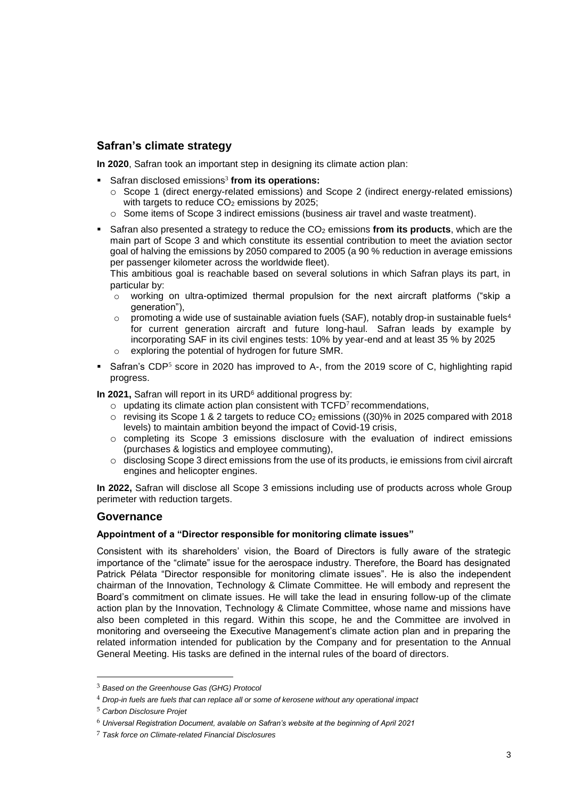## **Safran's climate strategy**

**In 2020**, Safran took an important step in designing its climate action plan:

- **EXEC** Safran disclosed emissions<sup>3</sup> from its operations:
	- o Scope 1 (direct energy-related emissions) and Scope 2 (indirect energy-related emissions) with targets to reduce  $CO<sub>2</sub>$  emissions by 2025;
	- o Some items of Scope 3 indirect emissions (business air travel and waste treatment).
- Safran also presented a strategy to reduce the CO<sup>2</sup> emissions **from its products**, which are the main part of Scope 3 and which constitute its essential contribution to meet the aviation sector goal of halving the emissions by 2050 compared to 2005 (a 90 % reduction in average emissions per passenger kilometer across the worldwide fleet).

This ambitious goal is reachable based on several solutions in which Safran plays its part, in particular by:

- $\circ$  working on ultra-optimized thermal propulsion for the next aircraft platforms ("skip a generation"),
- o promoting a wide use of sustainable aviation fuels (SAF)*,* notably drop-in sustainable fuels<sup>4</sup> for current generation aircraft and future long-haul. Safran leads by example by incorporating SAF in its civil engines tests: 10% by year-end and at least 35 % by 2025 o exploring the potential of hydrogen for future SMR.
- Safran's CDP<sup>5</sup> score in 2020 has improved to A-, from the 2019 score of C, highlighting rapid progress.

**In 2021, Safran will report in its URD<sup>6</sup> additional progress by:** 

- $\circ$  updating its climate action plan consistent with TCFD<sup>7</sup> recommendations,
- $\circ$  revising its Scope 1 & 2 targets to reduce CO<sub>2</sub> emissions ((30)% in 2025 compared with 2018 levels) to maintain ambition beyond the impact of Covid-19 crisis,
- $\circ$  completing its Scope 3 emissions disclosure with the evaluation of indirect emissions (purchases & logistics and employee commuting),
- o disclosing Scope 3 direct emissions from the use of its products, ie emissions from civil aircraft engines and helicopter engines.

**In 2022,** Safran will disclose all Scope 3 emissions including use of products across whole Group perimeter with reduction targets.

## **Governance**

#### **Appointment of a "Director responsible for monitoring climate issues"**

Consistent with its shareholders' vision, the Board of Directors is fully aware of the strategic importance of the "climate" issue for the aerospace industry. Therefore, the Board has designated Patrick Pélata "Director responsible for monitoring climate issues". He is also the independent chairman of the Innovation, Technology & Climate Committee. He will embody and represent the Board's commitment on climate issues. He will take the lead in ensuring follow-up of the climate action plan by the Innovation, Technology & Climate Committee, whose name and missions have also been completed in this regard. Within this scope, he and the Committee are involved in monitoring and overseeing the Executive Management's climate action plan and in preparing the related information intended for publication by the Company and for presentation to the Annual General Meeting. His tasks are defined in the internal rules of the board of directors.

1

<sup>3</sup> *Based on the Greenhouse Gas (GHG) Protocol*

<sup>4</sup> *Drop-in fuels are fuels that can replace all or some of kerosene without any operational impact*

<sup>5</sup> *Carbon Disclosure Projet*

<sup>6</sup> *Universal Registration Document, avalable on Safran's website at the beginning of April 2021*

<sup>7</sup> *Task force on Climate-related Financial Disclosures*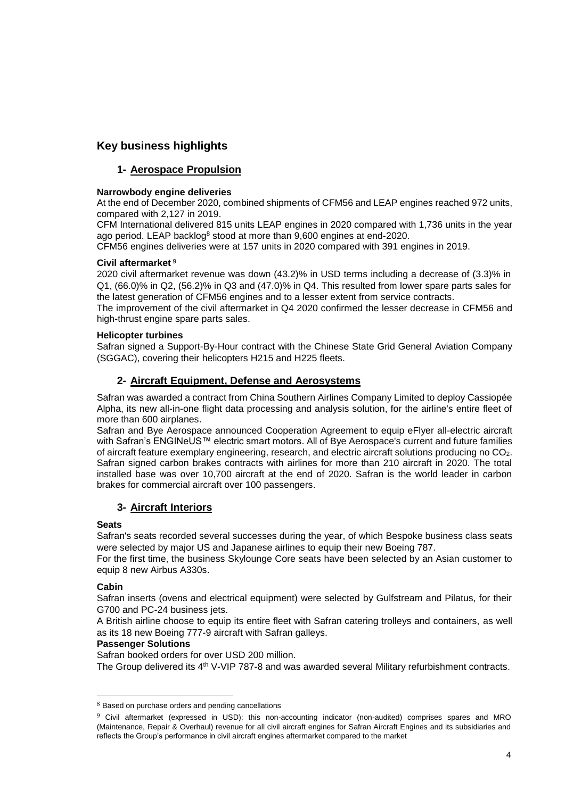## **Key business highlights**

## **1- Aerospace Propulsion**

#### **Narrowbody engine deliveries**

At the end of December 2020, combined shipments of CFM56 and LEAP engines reached 972 units, compared with 2,127 in 2019.

CFM International delivered 815 units LEAP engines in 2020 compared with 1,736 units in the year ago period. LEAP backlog<sup>8</sup> stood at more than 9,600 engines at end-2020.

CFM56 engines deliveries were at 157 units in 2020 compared with 391 engines in 2019.

#### **Civil aftermarket** <sup>9</sup>

2020 civil aftermarket revenue was down (43.2)% in USD terms including a decrease of (3.3)% in Q1, (66.0)% in Q2, (56.2)% in Q3 and (47.0)% in Q4. This resulted from lower spare parts sales for the latest generation of CFM56 engines and to a lesser extent from service contracts.

The improvement of the civil aftermarket in Q4 2020 confirmed the lesser decrease in CFM56 and high-thrust engine spare parts sales.

#### **Helicopter turbines**

Safran signed a Support-By-Hour contract with the Chinese State Grid General Aviation Company (SGGAC), covering their helicopters H215 and H225 fleets.

## **2- Aircraft Equipment, Defense and Aerosystems**

Safran was awarded a contract from China Southern Airlines Company Limited to deploy Cassiopée Alpha, its new all-in-one flight data processing and analysis solution, for the airline's entire fleet of more than 600 airplanes.

Safran and Bye Aerospace announced Cooperation Agreement to equip eFlyer all-electric aircraft with Safran's ENGINeUS™ electric smart motors. All of Bye Aerospace's current and future families of aircraft feature exemplary engineering, research, and electric aircraft solutions producing no CO2. Safran signed carbon brakes contracts with airlines for more than 210 aircraft in 2020. The total installed base was over 10,700 aircraft at the end of 2020. Safran is the world leader in carbon brakes for commercial aircraft over 100 passengers.

## **3- Aircraft Interiors**

#### **Seats**

Safran's seats recorded several successes during the year, of which Bespoke business class seats were selected by major US and Japanese airlines to equip their new Boeing 787.

For the first time, the business Skylounge Core seats have been selected by an Asian customer to equip 8 new Airbus A330s.

#### **Cabin**

1

Safran inserts (ovens and electrical equipment) were selected by Gulfstream and Pilatus, for their G700 and PC-24 business jets.

A British airline choose to equip its entire fleet with Safran catering trolleys and containers, as well as its 18 new Boeing 777-9 aircraft with Safran galleys.

#### **Passenger Solutions**

Safran booked orders for over USD 200 million.

The Group delivered its 4<sup>th</sup> V-VIP 787-8 and was awarded several Military refurbishment contracts.

<sup>8</sup> Based on purchase orders and pending cancellations

<sup>9</sup> Civil aftermarket (expressed in USD): this non-accounting indicator (non-audited) comprises spares and MRO (Maintenance, Repair & Overhaul) revenue for all civil aircraft engines for Safran Aircraft Engines and its subsidiaries and reflects the Group's performance in civil aircraft engines aftermarket compared to the market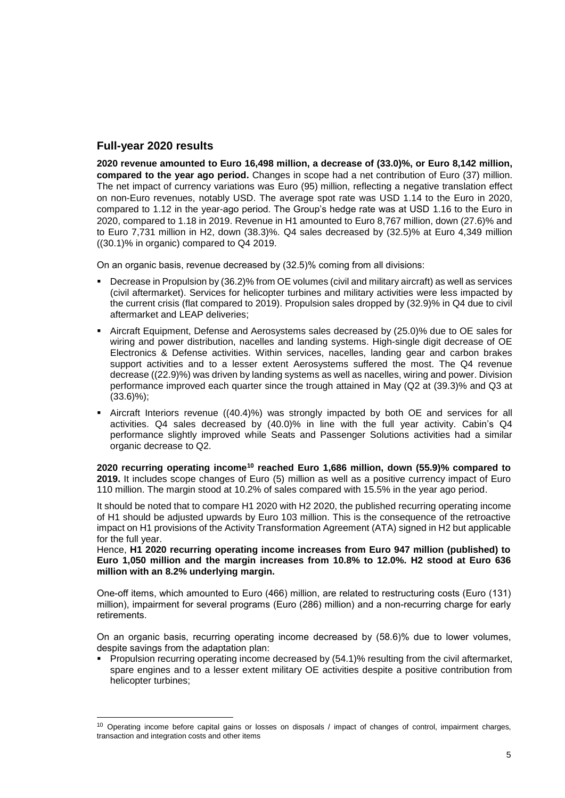## **Full-year 2020 results**

-

**2020 revenue amounted to Euro 16,498 million, a decrease of (33.0)%, or Euro 8,142 million, compared to the year ago period.** Changes in scope had a net contribution of Euro (37) million. The net impact of currency variations was Euro (95) million, reflecting a negative translation effect on non-Euro revenues, notably USD. The average spot rate was USD 1.14 to the Euro in 2020, compared to 1.12 in the year-ago period. The Group's hedge rate was at USD 1.16 to the Euro in 2020, compared to 1.18 in 2019. Revenue in H1 amounted to Euro 8,767 million, down (27.6)% and to Euro 7,731 million in H2, down (38.3)%. Q4 sales decreased by (32.5)% at Euro 4,349 million ((30.1)% in organic) compared to Q4 2019.

On an organic basis, revenue decreased by (32.5)% coming from all divisions:

- Decrease in Propulsion by (36.2)% from OE volumes (civil and military aircraft) as well as services (civil aftermarket). Services for helicopter turbines and military activities were less impacted by the current crisis (flat compared to 2019). Propulsion sales dropped by (32.9)% in Q4 due to civil aftermarket and LEAP deliveries;
- Aircraft Equipment, Defense and Aerosystems sales decreased by (25.0)% due to OE sales for wiring and power distribution, nacelles and landing systems. High-single digit decrease of OE Electronics & Defense activities. Within services, nacelles, landing gear and carbon brakes support activities and to a lesser extent Aerosystems suffered the most. The Q4 revenue decrease ((22.9)%) was driven by landing systems as well as nacelles, wiring and power. Division performance improved each quarter since the trough attained in May (Q2 at (39.3)% and Q3 at  $(33.6)\%$ ;
- Aircraft Interiors revenue ((40.4)%) was strongly impacted by both OE and services for all activities. Q4 sales decreased by (40.0)% in line with the full year activity. Cabin's Q4 performance slightly improved while Seats and Passenger Solutions activities had a similar organic decrease to Q2.

**2020 recurring operating income<sup>10</sup> reached Euro 1,686 million, down (55.9)% compared to 2019.** It includes scope changes of Euro (5) million as well as a positive currency impact of Euro 110 million. The margin stood at 10.2% of sales compared with 15.5% in the year ago period.

It should be noted that to compare H1 2020 with H2 2020, the published recurring operating income of H1 should be adjusted upwards by Euro 103 million. This is the consequence of the retroactive impact on H1 provisions of the Activity Transformation Agreement (ATA) signed in H2 but applicable for the full year.

Hence, **H1 2020 recurring operating income increases from Euro 947 million (published) to Euro 1,050 million and the margin increases from 10.8% to 12.0%. H2 stood at Euro 636 million with an 8.2% underlying margin.**

One-off items, which amounted to Euro (466) million, are related to restructuring costs (Euro (131) million), impairment for several programs (Euro (286) million) and a non-recurring charge for early retirements.

On an organic basis, recurring operating income decreased by (58.6)% due to lower volumes, despite savings from the adaptation plan:

 Propulsion recurring operating income decreased by (54.1)% resulting from the civil aftermarket, spare engines and to a lesser extent military OE activities despite a positive contribution from helicopter turbines;

<sup>&</sup>lt;sup>10</sup> Operating income before capital gains or losses on disposals / impact of changes of control, impairment charges, transaction and integration costs and other items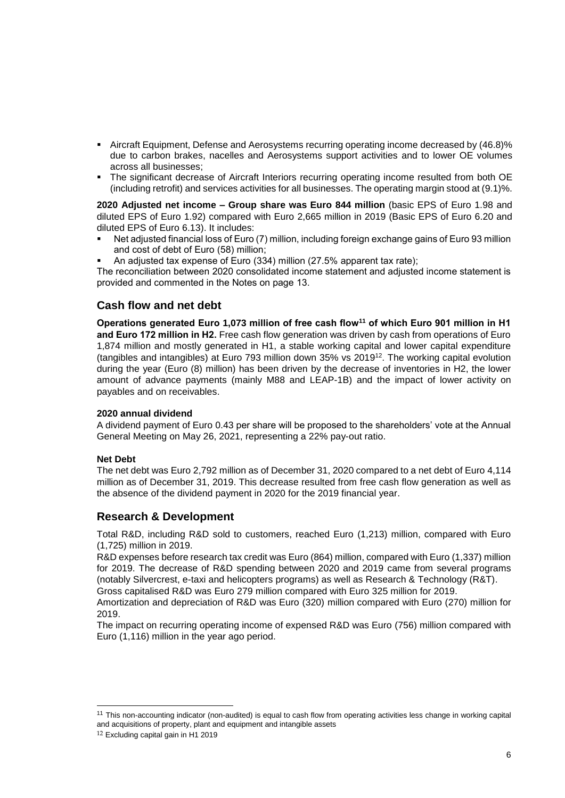- Aircraft Equipment, Defense and Aerosystems recurring operating income decreased by (46.8)% due to carbon brakes, nacelles and Aerosystems support activities and to lower OE volumes across all businesses;
- The significant decrease of Aircraft Interiors recurring operating income resulted from both OE (including retrofit) and services activities for all businesses. The operating margin stood at (9.1)%.

**2020 Adjusted net income – Group share was Euro 844 million** (basic EPS of Euro 1.98 and diluted EPS of Euro 1.92) compared with Euro 2,665 million in 2019 (Basic EPS of Euro 6.20 and diluted EPS of Euro 6.13). It includes:

- Net adjusted financial loss of Euro (7) million, including foreign exchange gains of Euro 93 million and cost of debt of Euro (58) million;
- An adjusted tax expense of Euro (334) million (27.5% apparent tax rate);

The reconciliation between 2020 consolidated income statement and adjusted income statement is provided and commented in the Notes on page 13.

## **Cash flow and net debt**

**Operations generated Euro 1,073 million of free cash flow<sup>11</sup> of which Euro 901 million in H1 and Euro 172 million in H2.** Free cash flow generation was driven by cash from operations of Euro 1,874 million and mostly generated in H1, a stable working capital and lower capital expenditure (tangibles and intangibles) at Euro 793 million down 35% vs 2019<sup>12</sup> . The working capital evolution during the year (Euro (8) million) has been driven by the decrease of inventories in H2, the lower amount of advance payments (mainly M88 and LEAP-1B) and the impact of lower activity on payables and on receivables.

#### **2020 annual dividend**

A dividend payment of Euro 0.43 per share will be proposed to the shareholders' vote at the Annual General Meeting on May 26, 2021, representing a 22% pay-out ratio.

#### **Net Debt**

The net debt was Euro 2,792 million as of December 31, 2020 compared to a net debt of Euro 4,114 million as of December 31, 2019. This decrease resulted from free cash flow generation as well as the absence of the dividend payment in 2020 for the 2019 financial year.

#### **Research & Development**

Total R&D, including R&D sold to customers, reached Euro (1,213) million, compared with Euro (1,725) million in 2019.

R&D expenses before research tax credit was Euro (864) million, compared with Euro (1,337) million for 2019. The decrease of R&D spending between 2020 and 2019 came from several programs (notably Silvercrest, e-taxi and helicopters programs) as well as Research & Technology (R&T).

Gross capitalised R&D was Euro 279 million compared with Euro 325 million for 2019.

Amortization and depreciation of R&D was Euro (320) million compared with Euro (270) million for 2019.

The impact on recurring operating income of expensed R&D was Euro (756) million compared with Euro (1,116) million in the year ago period.

1

<sup>&</sup>lt;sup>11</sup> This non-accounting indicator (non-audited) is equal to cash flow from operating activities less change in working capital and acquisitions of property, plant and equipment and intangible assets

<sup>12</sup> Excluding capital gain in H1 2019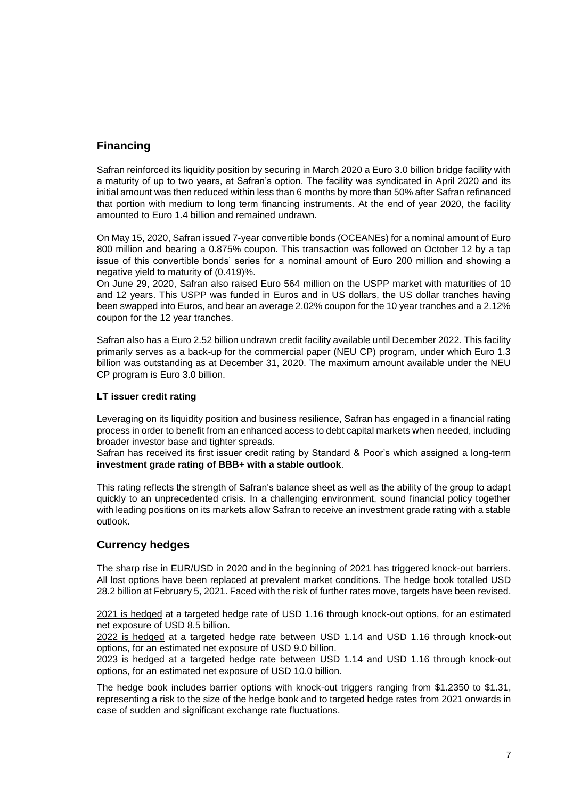## **Financing**

Safran reinforced its liquidity position by securing in March 2020 a Euro 3.0 billion bridge facility with a maturity of up to two years, at Safran's option. The facility was syndicated in April 2020 and its initial amount was then reduced within less than 6 months by more than 50% after Safran refinanced that portion with medium to long term financing instruments. At the end of year 2020, the facility amounted to Euro 1.4 billion and remained undrawn.

On May 15, 2020, Safran issued 7-year convertible bonds (OCEANEs) for a nominal amount of Euro 800 million and bearing a 0.875% coupon. This transaction was followed on October 12 by a tap issue of this convertible bonds' series for a nominal amount of Euro 200 million and showing a negative yield to maturity of (0.419)%.

On June 29, 2020, Safran also raised Euro 564 million on the USPP market with maturities of 10 and 12 years. This USPP was funded in Euros and in US dollars, the US dollar tranches having been swapped into Euros, and bear an average 2.02% coupon for the 10 year tranches and a 2.12% coupon for the 12 year tranches.

Safran also has a Euro 2.52 billion undrawn credit facility available until December 2022. This facility primarily serves as a back-up for the commercial paper (NEU CP) program, under which Euro 1.3 billion was outstanding as at December 31, 2020. The maximum amount available under the NEU CP program is Euro 3.0 billion.

#### **LT issuer credit rating**

Leveraging on its liquidity position and business resilience, Safran has engaged in a financial rating process in order to benefit from an enhanced access to debt capital markets when needed, including broader investor base and tighter spreads.

Safran has received its first issuer credit rating by Standard & Poor's which assigned a long-term **investment grade rating of BBB+ with a stable outlook**.

This rating reflects the strength of Safran's balance sheet as well as the ability of the group to adapt quickly to an unprecedented crisis. In a challenging environment, sound financial policy together with leading positions on its markets allow Safran to receive an investment grade rating with a stable outlook.

## **Currency hedges**

The sharp rise in EUR/USD in 2020 and in the beginning of 2021 has triggered knock-out barriers. All lost options have been replaced at prevalent market conditions. The hedge book totalled USD 28.2 billion at February 5, 2021. Faced with the risk of further rates move, targets have been revised.

2021 is hedged at a targeted hedge rate of USD 1.16 through knock-out options, for an estimated net exposure of USD 8.5 billion.

2022 is hedged at a targeted hedge rate between USD 1.14 and USD 1.16 through knock-out options, for an estimated net exposure of USD 9.0 billion.

2023 is hedged at a targeted hedge rate between USD 1.14 and USD 1.16 through knock-out options, for an estimated net exposure of USD 10.0 billion.

The hedge book includes barrier options with knock-out triggers ranging from \$1.2350 to \$1.31, representing a risk to the size of the hedge book and to targeted hedge rates from 2021 onwards in case of sudden and significant exchange rate fluctuations.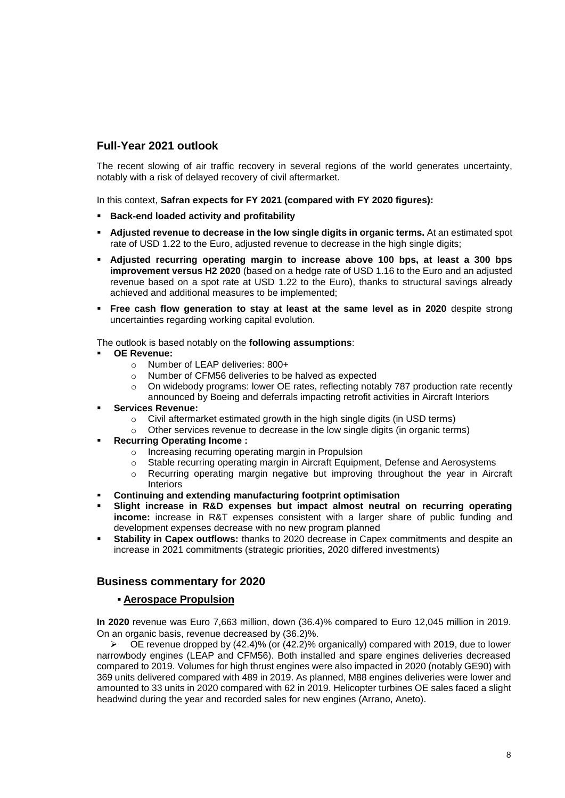## **Full-Year 2021 outlook**

The recent slowing of air traffic recovery in several regions of the world generates uncertainty, notably with a risk of delayed recovery of civil aftermarket.

In this context, **Safran expects for FY 2021 (compared with FY 2020 figures):**

- **Back-end loaded activity and profitability**
- **Adjusted revenue to decrease in the low single digits in organic terms.** At an estimated spot rate of USD 1.22 to the Euro, adjusted revenue to decrease in the high single digits;
- **Adjusted recurring operating margin to increase above 100 bps, at least a 300 bps improvement versus H2 2020** (based on a hedge rate of USD 1.16 to the Euro and an adjusted revenue based on a spot rate at USD 1.22 to the Euro), thanks to structural savings already achieved and additional measures to be implemented;
- **Free cash flow generation to stay at least at the same level as in 2020** despite strong uncertainties regarding working capital evolution.

The outlook is based notably on the **following assumptions**:

- **OE Revenue:**
	- o Number of LEAP deliveries: 800+
	- o Number of CFM56 deliveries to be halved as expected
	- $\circ$  On widebody programs: lower OE rates, reflecting notably 787 production rate recently announced by Boeing and deferrals impacting retrofit activities in Aircraft Interiors
- **Services Revenue:**
	- o Civil aftermarket estimated growth in the high single digits (in USD terms)
	- o Other services revenue to decrease in the low single digits (in organic terms)
- **Recurring Operating Income :**
	- o Increasing recurring operating margin in Propulsion
	- o Stable recurring operating margin in Aircraft Equipment, Defense and Aerosystems
	- $\circ$  Recurring operating margin negative but improving throughout the year in Aircraft Interiors
- **Continuing and extending manufacturing footprint optimisation**
- **Slight increase in R&D expenses but impact almost neutral on recurring operating income:** increase in R&T expenses consistent with a larger share of public funding and development expenses decrease with no new program planned
- **Stability in Capex outflows:** thanks to 2020 decrease in Capex commitments and despite an increase in 2021 commitments (strategic priorities, 2020 differed investments)

## **Business commentary for 2020**

#### **Aerospace Propulsion**

**In 2020** revenue was Euro 7,663 million, down (36.4)% compared to Euro 12,045 million in 2019. On an organic basis, revenue decreased by (36.2)%.

 $\triangleright$   $\bullet$  OE revenue dropped by (42.4)% (or (42.2)% organically) compared with 2019, due to lower narrowbody engines (LEAP and CFM56). Both installed and spare engines deliveries decreased compared to 2019. Volumes for high thrust engines were also impacted in 2020 (notably GE90) with 369 units delivered compared with 489 in 2019. As planned, M88 engines deliveries were lower and amounted to 33 units in 2020 compared with 62 in 2019. Helicopter turbines OE sales faced a slight headwind during the year and recorded sales for new engines (Arrano, Aneto).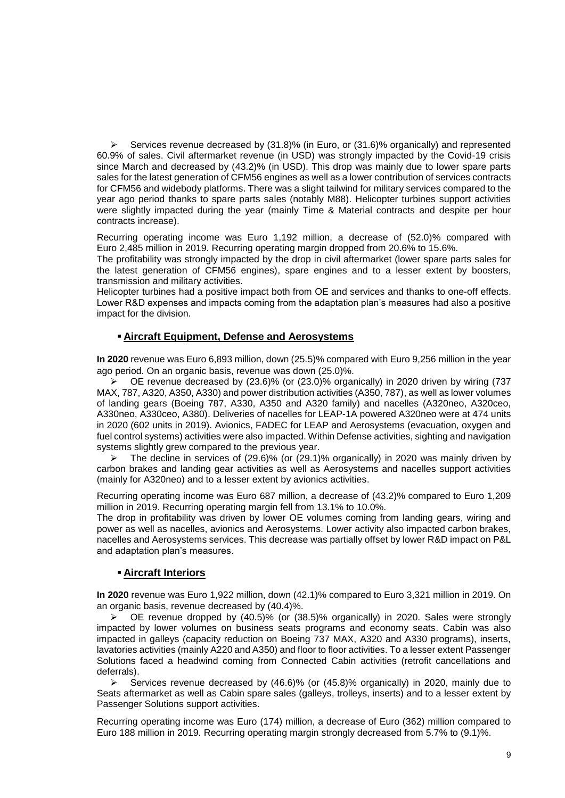Services revenue decreased by  $(31.8)$ % (in Euro, or  $(31.6)$ % organically) and represented 60.9% of sales. Civil aftermarket revenue (in USD) was strongly impacted by the Covid-19 crisis since March and decreased by (43.2)% (in USD). This drop was mainly due to lower spare parts sales for the latest generation of CFM56 engines as well as a lower contribution of services contracts for CFM56 and widebody platforms. There was a slight tailwind for military services compared to the year ago period thanks to spare parts sales (notably M88). Helicopter turbines support activities were slightly impacted during the year (mainly Time & Material contracts and despite per hour contracts increase).

Recurring operating income was Euro 1,192 million, a decrease of (52.0)% compared with Euro 2,485 million in 2019. Recurring operating margin dropped from 20.6% to 15.6%.

The profitability was strongly impacted by the drop in civil aftermarket (lower spare parts sales for the latest generation of CFM56 engines), spare engines and to a lesser extent by boosters, transmission and military activities.

Helicopter turbines had a positive impact both from OE and services and thanks to one-off effects. Lower R&D expenses and impacts coming from the adaptation plan's measures had also a positive impact for the division.

### **Aircraft Equipment, Defense and Aerosystems**

**In 2020** revenue was Euro 6,893 million, down (25.5)% compared with Euro 9,256 million in the year ago period. On an organic basis, revenue was down (25.0)%.

 $\triangleright$  OE revenue decreased by (23.6)% (or (23.0)% organically) in 2020 driven by wiring (737 MAX, 787, A320, A350, A330) and power distribution activities (A350, 787), as well as lower volumes of landing gears (Boeing 787, A330, A350 and A320 family) and nacelles (A320neo, A320ceo, A330neo, A330ceo, A380). Deliveries of nacelles for LEAP-1A powered A320neo were at 474 units in 2020 (602 units in 2019). Avionics, FADEC for LEAP and Aerosystems (evacuation, oxygen and fuel control systems) activities were also impacted. Within Defense activities, sighting and navigation systems slightly grew compared to the previous year.

 The decline in services of (29.6)% (or (29.1)% organically) in 2020 was mainly driven by carbon brakes and landing gear activities as well as Aerosystems and nacelles support activities (mainly for A320neo) and to a lesser extent by avionics activities.

Recurring operating income was Euro 687 million, a decrease of (43.2)% compared to Euro 1,209 million in 2019. Recurring operating margin fell from 13.1% to 10.0%.

The drop in profitability was driven by lower OE volumes coming from landing gears, wiring and power as well as nacelles, avionics and Aerosystems. Lower activity also impacted carbon brakes, nacelles and Aerosystems services. This decrease was partially offset by lower R&D impact on P&L and adaptation plan's measures.

#### **Aircraft Interiors**

**In 2020** revenue was Euro 1,922 million, down (42.1)% compared to Euro 3,321 million in 2019. On an organic basis, revenue decreased by (40.4)%.

 $\triangleright$  OE revenue dropped by (40.5)% (or (38.5)% organically) in 2020. Sales were strongly impacted by lower volumes on business seats programs and economy seats. Cabin was also impacted in galleys (capacity reduction on Boeing 737 MAX, A320 and A330 programs), inserts, lavatories activities (mainly A220 and A350) and floor to floor activities. To a lesser extent Passenger Solutions faced a headwind coming from Connected Cabin activities (retrofit cancellations and deferrals).<br>Se

 Services revenue decreased by (46.6)% (or (45.8)% organically) in 2020, mainly due to Seats aftermarket as well as Cabin spare sales (galleys, trolleys, inserts) and to a lesser extent by Passenger Solutions support activities.

Recurring operating income was Euro (174) million, a decrease of Euro (362) million compared to Euro 188 million in 2019. Recurring operating margin strongly decreased from 5.7% to (9.1)%.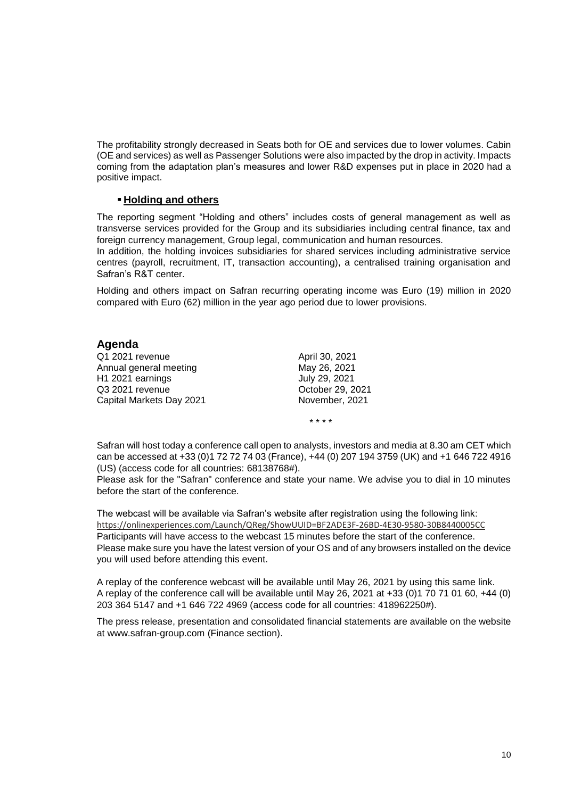The profitability strongly decreased in Seats both for OE and services due to lower volumes. Cabin (OE and services) as well as Passenger Solutions were also impacted by the drop in activity. Impacts coming from the adaptation plan's measures and lower R&D expenses put in place in 2020 had a positive impact.

#### **Holding and others**

The reporting segment "Holding and others" includes costs of general management as well as transverse services provided for the Group and its subsidiaries including central finance, tax and foreign currency management, Group legal, communication and human resources.

In addition, the holding invoices subsidiaries for shared services including administrative service centres (payroll, recruitment, IT, transaction accounting), a centralised training organisation and Safran's R&T center.

Holding and others impact on Safran recurring operating income was Euro (19) million in 2020 compared with Euro (62) million in the year ago period due to lower provisions.

### **Agenda**

Q1 2021 revenue April 30, 2021<br>Annual general meeting May 26, 2021 Annual general meeting H1 2021 earnings July 29, 2021 Q3 2021 revenue<br>
Capital Markets Day 2021<br>
Capital Markets Day 2021 Capital Markets Day 2021

\* \* \* \*

Safran will host today a conference call open to analysts, investors and media at 8.30 am CET which can be accessed at +33 (0)1 72 72 74 03 (France), +44 (0) 207 194 3759 (UK) and +1 646 722 4916 (US) (access code for all countries: 68138768#).

Please ask for the "Safran" conference and state your name. We advise you to dial in 10 minutes before the start of the conference.

The webcast will be available via Safran's website after registration using the following link: <https://onlinexperiences.com/Launch/QReg/ShowUUID=BF2ADE3F-26BD-4E30-9580-30B8440005CC> Participants will have access to the webcast 15 minutes before the start of the conference. Please make sure you have the latest version of your OS and of any browsers installed on the device you will used before attending this event.

A replay of the conference webcast will be available until May 26, 2021 by using this same link. A replay of the conference call will be available until May 26, 2021 at +33 (0)1 70 71 01 60, +44 (0) 203 364 5147 and +1 646 722 4969 (access code for all countries: 418962250#).

The press release, presentation and consolidated financial statements are available on the website at www.safran-group.com (Finance section).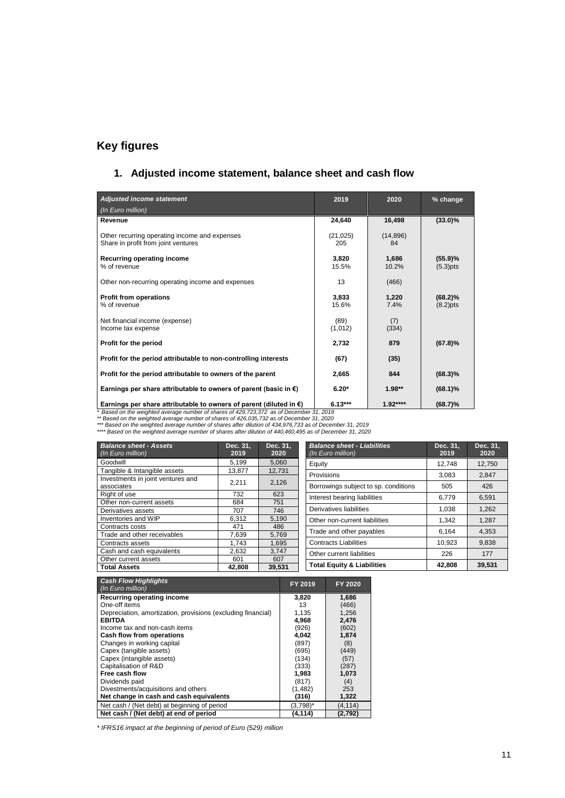## **Key figures**

## **1. Adjusted income statement, balance sheet and cash flow**

| Adjusted income statement                                                                                                                                                                                                                                                                                                                                                                                  | 2019             | 2020            | % change                  |  |  |  |
|------------------------------------------------------------------------------------------------------------------------------------------------------------------------------------------------------------------------------------------------------------------------------------------------------------------------------------------------------------------------------------------------------------|------------------|-----------------|---------------------------|--|--|--|
| (In Euro million)                                                                                                                                                                                                                                                                                                                                                                                          |                  |                 |                           |  |  |  |
| Revenue                                                                                                                                                                                                                                                                                                                                                                                                    | 24,640           | 16.498          | $(33.0)\%$                |  |  |  |
| Other recurring operating income and expenses<br>Share in profit from joint ventures                                                                                                                                                                                                                                                                                                                       | (21, 025)<br>205 | (14, 896)<br>84 |                           |  |  |  |
| Recurring operating income<br>% of revenue                                                                                                                                                                                                                                                                                                                                                                 | 3,820<br>15.5%   | 1,686<br>10.2%  | (55.9)%<br>$(5.3)$ pts    |  |  |  |
| Other non-recurring operating income and expenses                                                                                                                                                                                                                                                                                                                                                          | 13               | (466)           |                           |  |  |  |
| <b>Profit from operations</b><br>% of revenue                                                                                                                                                                                                                                                                                                                                                              | 3,833<br>15.6%   | 1,220<br>7.4%   | $(68.2)\%$<br>$(8.2)$ pts |  |  |  |
| Net financial income (expense)<br>Income tax expense                                                                                                                                                                                                                                                                                                                                                       | (89)<br>(1,012)  | (7)<br>(334)    |                           |  |  |  |
| Profit for the period                                                                                                                                                                                                                                                                                                                                                                                      | 2,732            | 879             | (67.8)%                   |  |  |  |
| Profit for the period attributable to non-controlling interests                                                                                                                                                                                                                                                                                                                                            | (67)             | (35)            |                           |  |  |  |
| Profit for the period attributable to owners of the parent                                                                                                                                                                                                                                                                                                                                                 | 2.665            | 844             | $(68.3)\%$                |  |  |  |
| Earnings per share attributable to owners of parent (basic in $\epsilon$ )                                                                                                                                                                                                                                                                                                                                 | $6.20*$          | $1.98**$        | $(68.1)\%$                |  |  |  |
| Earnings per share attributable to owners of parent (diluted in $\epsilon$ )                                                                                                                                                                                                                                                                                                                               | $6.13***$        | $1.92***$       | $(68.7)\%$                |  |  |  |
| Based on the weighted average number of shares of 429,723,372 as of December 31, 2019<br>** Based on the weighted average number of shares of 426,035,732 as of December 31, 2020<br>*** Based on the weighted average number of shares after dilution of 434,976,733 as of December 31, 2019<br>**** Based on the weighted average number of shares after dilution of 440,460,495 as of December 31, 2020 |                  |                 |                           |  |  |  |

| <b>Balance sheet - Assets</b><br>(In Euro million) | Dec. 31.<br>2019 | Dec. 31.<br>2020 | <b>Balance sheet - Liabilities</b><br>(In Euro million) | Dec. 31.<br>2019 | Dec. 31,<br>2020 |
|----------------------------------------------------|------------------|------------------|---------------------------------------------------------|------------------|------------------|
| Goodwill                                           | 5.199            | 5,060            | Equity                                                  | 12.748           | 12,750           |
| Tangible & Intangible assets                       | 13.877           | 12,731           | Provisions                                              | 3.083            |                  |
| Investments in joint ventures and                  |                  |                  |                                                         |                  | 2,847            |
| associates                                         | 2.211            | 2,126            | Borrowings subject to sp. conditions                    | 505              | 426              |
| Right of use                                       | 732              | 623              | Interest bearing liabilities                            | 6.779            | 6.591            |
| Other non-current assets                           | 684              | 751              |                                                         |                  |                  |
| Derivatives assets                                 | 707              | 746              | Derivatives liabilities                                 | 1.038            | 1,262            |
| Inventories and WIP                                | 6.312            | 5,190            | Other non-current liabilities                           | 1.342            | 1.287            |
| Contracts costs                                    | 471              | 486              |                                                         |                  |                  |
| Trade and other receivables                        | 7.639            | 5.769            | Trade and other payables                                | 6.164            | 4,353            |
| Contracts assets                                   | 1.743            | 1.695            | <b>Contracts Liabilities</b>                            | 10,923           | 9,838            |
| Cash and cash equivalents                          | 2,632            | 3.747            | Other current liabilities                               | 226              | 177              |
| Other current assets                               | 601              | 607              |                                                         |                  |                  |
| <b>Total Assets</b>                                | 42,808           | 39,531           | <b>Total Equity &amp; Liabilities</b>                   | 42.808           | 39,531           |

| <b>Cash Flow Highlights</b><br>(In Euro million)             | FY 2019     | FY 2020  |
|--------------------------------------------------------------|-------------|----------|
| Recurring operating income                                   | 3,820       | 1,686    |
| One-off items                                                | 13          | (466)    |
| Depreciation, amortization, provisions (excluding financial) | 1.135       | 1,256    |
| <b>EBITDA</b>                                                | 4,968       | 2,476    |
| Income tax and non-cash items                                | (926)       | (602)    |
| Cash flow from operations                                    | 4,042       | 1,874    |
| Changes in working capital                                   | (897)       | (8)      |
| Capex (tangible assets)                                      | (695)       | (449)    |
| Capex (intangible assets)                                    | (134)       | (57)     |
| Capitalisation of R&D                                        | (333)       | (287)    |
| Free cash flow                                               | 1,983       | 1,073    |
| Dividends paid                                               | (817)       | (4)      |
| Divestments/acquisitions and others                          | (1, 482)    | 253      |
| Net change in cash and cash equivalents                      | (316)       | 1,322    |
| Net cash / (Net debt) at beginning of period                 | $(3,798)^*$ | (4, 114) |
| Net cash / (Net debt) at end of period                       | (4, 114)    | (2,792)  |

*\* IFRS16 impact at the beginning of period of Euro (529) million*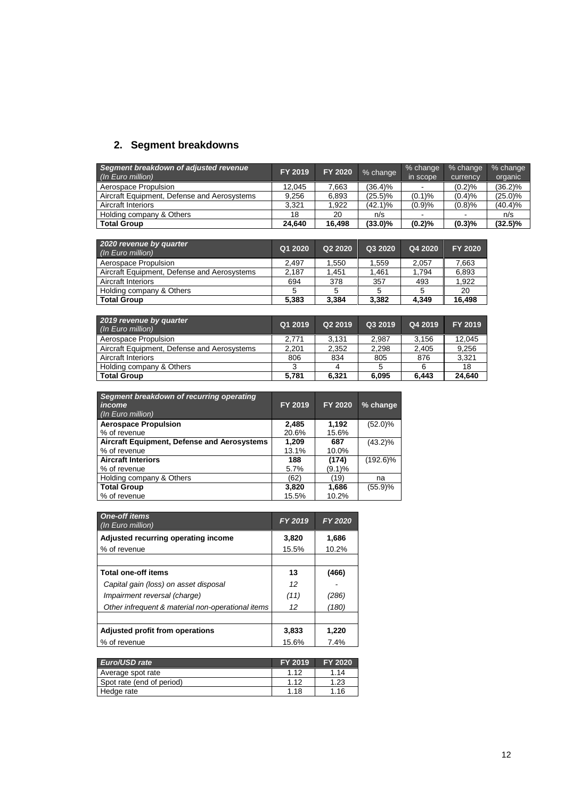## **2. Segment breakdowns**

| Segment breakdown of adjusted revenue<br>(In Euro million) | FY 2019 | FY 2020 | % change   | % change<br>in scope | % change<br>currency | % change<br>organic |
|------------------------------------------------------------|---------|---------|------------|----------------------|----------------------|---------------------|
| Aerospace Propulsion                                       | 12.045  | 7.663   | (36.4)%    |                      | (0.2)%               | $(36.2)\%$          |
| Aircraft Equipment, Defense and Aerosystems                | 9.256   | 6.893   | (25.5)%    | (0.1)%               | (0.4)%               | $(25.0)\%$          |
| Aircraft Interiors                                         | 3.321   | 1.922   | $(42.1)\%$ | (0.9)%               | (0.8)%               | (40.4)%             |
| Holding company & Others                                   | 18      | 20      | n/s        |                      | -                    | n/s                 |
| <b>Total Group</b>                                         | 24.640  | 16.498  | $(33.0)\%$ | (0.2)%               | (0.3)%               | $(32.5)\%$          |

| 2020 revenue by quarter<br>(In Euro million) | Q1 2020 | Q <sub>2</sub> 20 <sub>20</sub> | Q3 2020 | Q4 2020 | FY 2020 |
|----------------------------------------------|---------|---------------------------------|---------|---------|---------|
| Aerospace Propulsion                         | 2.497   | 1.550                           | 1.559   | 2.057   | 7,663   |
| Aircraft Equipment, Defense and Aerosystems  | 2.187   | 1.451                           | 1.461   | 1.794   | 6.893   |
| <b>Aircraft Interiors</b>                    | 694     | 378                             | 357     | 493     | 1.922   |
| Holding company & Others                     | 5       | 5                               |         | 5       | 20      |
| <b>Total Group</b>                           | 5.383   | 3.384                           | 3.382   | 4.349   | 16.498  |

| 2019 revenue by quarter<br>(In Euro million) | Q1 2019 | Q2 2019 | Q3 2019 | Q4 2019 | FY 2019 |
|----------------------------------------------|---------|---------|---------|---------|---------|
| Aerospace Propulsion                         | 2.771   | 3.131   | 2.987   | 3.156   | 12.045  |
| Aircraft Equipment, Defense and Aerosystems  | 2.201   | 2,352   | 2.298   | 2.405   | 9,256   |
| Aircraft Interiors                           | 806     | 834     | 805     | 876     | 3.321   |
| Holding company & Others                     |         |         |         |         | 18      |
| <b>Total Group</b>                           | 5.781   | 6.321   | 6.095   | 6.443   | 24.640  |

| Segment breakdown of recurring operating<br>income<br>(In Euro million) | FY 2019 | FY 2020 | % change    |
|-------------------------------------------------------------------------|---------|---------|-------------|
| <b>Aerospace Propulsion</b>                                             | 2,485   | 1,192   | $(52.0)\%$  |
| % of revenue                                                            | 20.6%   | 15.6%   |             |
| Aircraft Equipment, Defense and Aerosystems                             | 1.209   | 687     | $(43.2)\%$  |
| % of revenue                                                            | 13.1%   | 10.0%   |             |
| <b>Aircraft Interiors</b>                                               | 188     | (174)   | $(192.6)\%$ |
| % of revenue                                                            | 5.7%    | (9.1)%  |             |
| Holding company & Others                                                | (62)    | (19)    | na          |
| <b>Total Group</b>                                                      | 3.820   | 1,686   | (55.9)%     |
| % of revenue                                                            | 15.5%   | 10.2%   |             |

| <b>One-off items</b><br>(In Euro million)         | FY 2019 | <b>FY 2020</b> |
|---------------------------------------------------|---------|----------------|
| Adjusted recurring operating income               | 3,820   | 1,686          |
| % of revenue                                      | 15.5%   | 10.2%          |
|                                                   |         |                |
| <b>Total one-off items</b>                        | 13      | (466)          |
| Capital gain (loss) on asset disposal             | 12      |                |
| Impairment reversal (charge)                      | (11)    | (286)          |
| Other infrequent & material non-operational items | 12      | (180)          |
|                                                   |         |                |
| Adjusted profit from operations                   | 3,833   | 1,220          |
| % of revenue                                      | 15.6%   | 7.4%           |

| Euro/USD rate             | FY 2019 | <b>FY 2020</b> |
|---------------------------|---------|----------------|
| Average spot rate         | 1.12    | 1.14           |
| Spot rate (end of period) | 1.12    | 1.23           |
| Hedge rate                | 1.18    | 1.16           |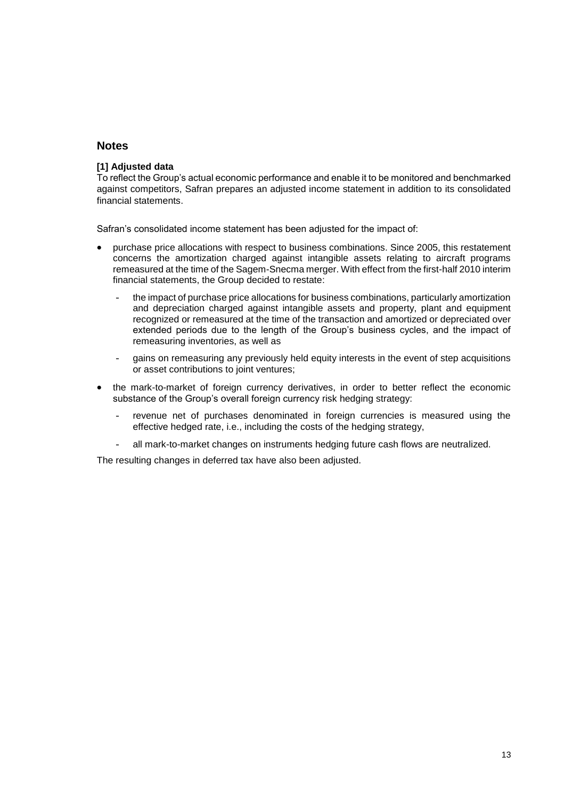### **Notes**

#### **[1] Adjusted data**

To reflect the Group's actual economic performance and enable it to be monitored and benchmarked against competitors, Safran prepares an adjusted income statement in addition to its consolidated financial statements.

Safran's consolidated income statement has been adjusted for the impact of:

- purchase price allocations with respect to business combinations. Since 2005, this restatement concerns the amortization charged against intangible assets relating to aircraft programs remeasured at the time of the Sagem-Snecma merger. With effect from the first-half 2010 interim financial statements, the Group decided to restate:
	- the impact of purchase price allocations for business combinations, particularly amortization and depreciation charged against intangible assets and property, plant and equipment recognized or remeasured at the time of the transaction and amortized or depreciated over extended periods due to the length of the Group's business cycles, and the impact of remeasuring inventories, as well as
	- gains on remeasuring any previously held equity interests in the event of step acquisitions or asset contributions to joint ventures;
- the mark-to-market of foreign currency derivatives, in order to better reflect the economic substance of the Group's overall foreign currency risk hedging strategy:
	- revenue net of purchases denominated in foreign currencies is measured using the effective hedged rate, i.e., including the costs of the hedging strategy,
	- all mark-to-market changes on instruments hedging future cash flows are neutralized.

The resulting changes in deferred tax have also been adjusted.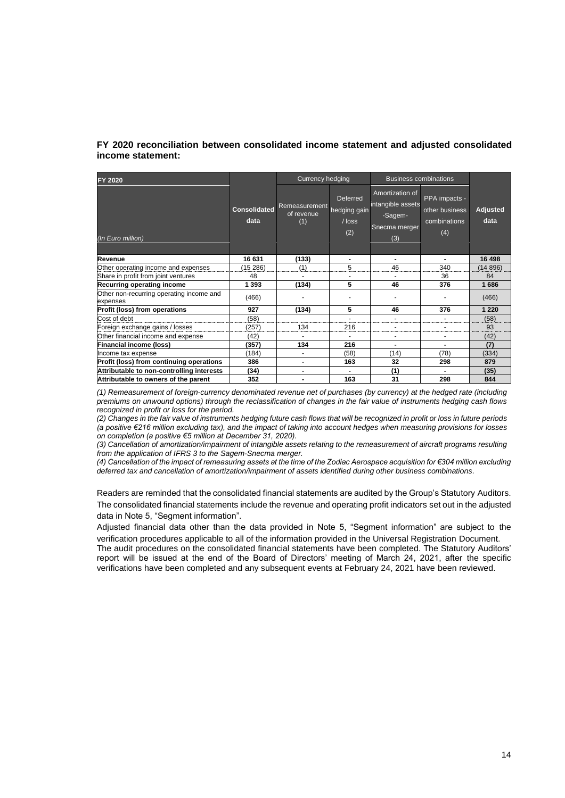### **FY 2020 reconciliation between consolidated income statement and adjusted consolidated income statement:**

| <b>FY 2020</b>                                       |                             | <b>Currency hedging</b>            |                                                    | <b>Business combinations</b>                                            |                                                        |                  |
|------------------------------------------------------|-----------------------------|------------------------------------|----------------------------------------------------|-------------------------------------------------------------------------|--------------------------------------------------------|------------------|
| (In Euro million)                                    | <b>Consolidated</b><br>data | Remeasurement<br>of revenue<br>(1) | <b>Deferred</b><br>hedging gain<br>$/$ loss<br>(2) | Amortization of<br>intangible assets<br>-Sagem-<br>Snecma merger<br>(3) | PPA impacts -<br>other business<br>combinations<br>(4) | Adjusted<br>data |
| Revenue                                              | 16 631                      | (133)                              | $\blacksquare$                                     |                                                                         | ۰.                                                     | 16 498           |
| Other operating income and expenses                  | (15286)                     | (1)                                | 5                                                  | 46                                                                      | 340                                                    | (14896)          |
| Share in profit from joint ventures                  | 48                          |                                    |                                                    |                                                                         | 36                                                     | 84               |
| Recurring operating income                           | 1 3 9 3                     | (134)                              | 5                                                  | 46                                                                      | 376                                                    | 1686             |
| Other non-recurring operating income and<br>expenses | (466)                       |                                    |                                                    |                                                                         |                                                        | (466)            |
| Profit (loss) from operations                        | 927                         | (134)                              | 5                                                  | 46                                                                      | 376                                                    | 1 2 2 0          |
| Cost of debt                                         | (58)                        |                                    |                                                    |                                                                         |                                                        | (58)             |
| Foreign exchange gains / losses                      | (257)                       | 134                                | 216                                                | $\overline{\phantom{a}}$                                                |                                                        | 93               |
| Other financial income and expense                   | (42)                        |                                    |                                                    | ٠                                                                       |                                                        | (42)             |
| Financial income (loss)                              | (357)                       | 134                                | 216                                                | $\overline{\phantom{0}}$                                                |                                                        | (7)              |
| Income tax expense                                   | (184)                       | $\blacksquare$                     | (58)                                               | (14)                                                                    | (78)                                                   | (334)            |
| Profit (loss) from continuing operations             | 386                         | ٠                                  | 163                                                | 32                                                                      | 298                                                    | 879              |
| Attributable to non-controlling interests            | (34)                        | ٠                                  | ۰.                                                 | (1)                                                                     |                                                        | (35)             |
| Attributable to owners of the parent                 | 352                         | ٠                                  | 163                                                | 31                                                                      | 298                                                    | 844              |

*(1) Remeasurement of foreign-currency denominated revenue net of purchases (by currency) at the hedged rate (including premiums on unwound options) through the reclassification of changes in the fair value of instruments hedging cash flows recognized in profit or loss for the period.*

*(2) Changes in the fair value of instruments hedging future cash flows that will be recognized in profit or loss in future periods (a positive €216 million excluding tax), and the impact of taking into account hedges when measuring provisions for losses on completion (a positive €5 million at December 31, 2020).*

*(3) Cancellation of amortization/impairment of intangible assets relating to the remeasurement of aircraft programs resulting from the application of IFRS 3 to the Sagem-Snecma merger.*

*(4) Cancellation of the impact of remeasuring assets at the time of the Zodiac Aerospace acquisition for €304 million excluding deferred tax and cancellation of amortization/impairment of assets identified during other business combinations.*

Readers are reminded that the consolidated financial statements are audited by the Group's Statutory Auditors. The consolidated financial statements include the revenue and operating profit indicators set out in the adjusted data in Note 5, "Segment information".

Adjusted financial data other than the data provided in Note 5, "Segment information" are subject to the verification procedures applicable to all of the information provided in the Universal Registration Document. The audit procedures on the consolidated financial statements have been completed. The Statutory Auditors' report will be issued at the end of the Board of Directors' meeting of March 24, 2021, after the specific verifications have been completed and any subsequent events at February 24, 2021 have been reviewed.